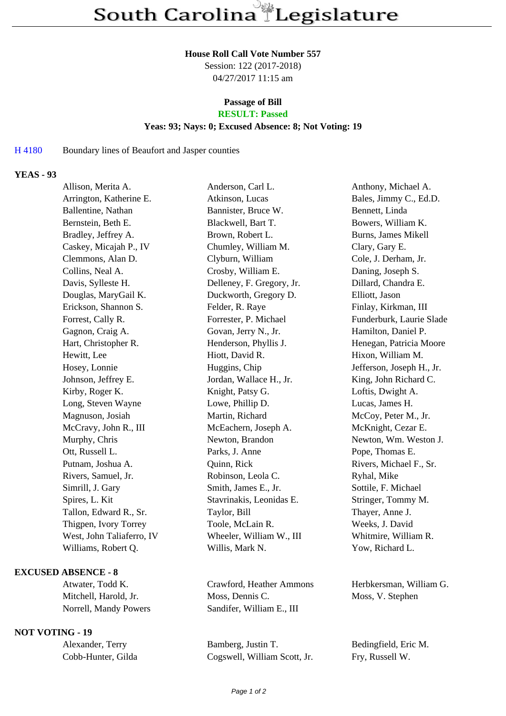#### **House Roll Call Vote Number 557**

Session: 122 (2017-2018) 04/27/2017 11:15 am

# **Passage of Bill**

## **RESULT: Passed**

#### **Yeas: 93; Nays: 0; Excused Absence: 8; Not Voting: 19**

### H 4180 Boundary lines of Beaufort and Jasper counties

## **YEAS - 93**

| Allison, Merita A.        | Anderson, Carl L.         | Anthony, Michael A.        |
|---------------------------|---------------------------|----------------------------|
| Arrington, Katherine E.   | Atkinson, Lucas           | Bales, Jimmy C., Ed.D.     |
| Ballentine, Nathan        | Bannister, Bruce W.       | Bennett, Linda             |
| Bernstein, Beth E.        | Blackwell, Bart T.        | Bowers, William K.         |
| Bradley, Jeffrey A.       | Brown, Robert L.          | <b>Burns, James Mikell</b> |
| Caskey, Micajah P., IV    | Chumley, William M.       | Clary, Gary E.             |
| Clemmons, Alan D.         | Clyburn, William          | Cole, J. Derham, Jr.       |
| Collins, Neal A.          | Crosby, William E.        | Daning, Joseph S.          |
| Davis, Sylleste H.        | Delleney, F. Gregory, Jr. | Dillard, Chandra E.        |
| Douglas, MaryGail K.      | Duckworth, Gregory D.     | Elliott, Jason             |
| Erickson, Shannon S.      | Felder, R. Raye           | Finlay, Kirkman, III       |
| Forrest, Cally R.         | Forrester, P. Michael     | Funderburk, Laurie Slade   |
| Gagnon, Craig A.          | Govan, Jerry N., Jr.      | Hamilton, Daniel P.        |
| Hart, Christopher R.      | Henderson, Phyllis J.     | Henegan, Patricia Moore    |
| Hewitt, Lee               | Hiott, David R.           | Hixon, William M.          |
| Hosey, Lonnie             | Huggins, Chip             | Jefferson, Joseph H., Jr.  |
| Johnson, Jeffrey E.       | Jordan, Wallace H., Jr.   | King, John Richard C.      |
| Kirby, Roger K.           | Knight, Patsy G.          | Loftis, Dwight A.          |
| Long, Steven Wayne        | Lowe, Phillip D.          | Lucas, James H.            |
| Magnuson, Josiah          | Martin, Richard           | McCoy, Peter M., Jr.       |
| McCravy, John R., III     | McEachern, Joseph A.      | McKnight, Cezar E.         |
| Murphy, Chris             | Newton, Brandon           | Newton, Wm. Weston J.      |
| Ott, Russell L.           | Parks, J. Anne            | Pope, Thomas E.            |
| Putnam, Joshua A.         | Quinn, Rick               | Rivers, Michael F., Sr.    |
| Rivers, Samuel, Jr.       | Robinson, Leola C.        | Ryhal, Mike                |
| Simrill, J. Gary          | Smith, James E., Jr.      | Sottile, F. Michael        |
| Spires, L. Kit            | Stavrinakis, Leonidas E.  | Stringer, Tommy M.         |
| Tallon, Edward R., Sr.    | Taylor, Bill              | Thayer, Anne J.            |
| Thigpen, Ivory Torrey     | Toole, McLain R.          | Weeks, J. David            |
| West, John Taliaferro, IV | Wheeler, William W., III  | Whitmire, William R.       |
| Williams, Robert Q.       | Willis, Mark N.           | Yow, Richard L.            |
|                           |                           |                            |

#### **EXCUSED ABSENCE - 8**

#### **NOT VOTING - 19**

Atwater, Todd K. Crawford, Heather Ammons Herbkersman, William G. Mitchell, Harold, Jr. Moss, Dennis C. Moss, V. Stephen Norrell, Mandy Powers Sandifer, William E., III

Alexander, Terry Bamberg, Justin T. Bedingfield, Eric M. Cobb-Hunter, Gilda Cogswell, William Scott, Jr. Fry, Russell W.